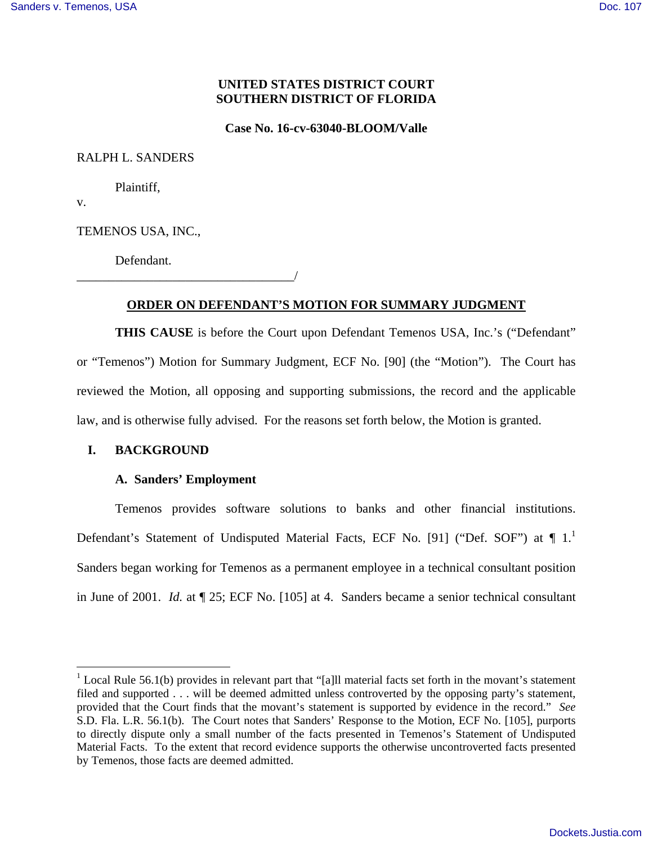# **UNITED STATES DISTRICT COURT SOUTHERN DISTRICT OF FLORIDA**

**Case No. 16-cv-63040-BLOOM/Valle**

RALPH L. SANDERS

Plaintiff,

v.

<u>.</u>

TEMENOS USA, INC.,

Defendant.

\_\_\_\_\_\_\_\_\_\_\_\_\_\_\_\_\_\_\_\_\_\_\_\_\_\_\_\_\_\_\_\_\_\_/

# **ORDER ON DEFENDANT'S MOTION FOR SUMMARY JUDGMENT**

**THIS CAUSE** is before the Court upon Defendant Temenos USA, Inc.'s ("Defendant" or "Temenos") Motion for Summary Judgment, ECF No. [90] (the "Motion"). The Court has reviewed the Motion, all opposing and supporting submissions, the record and the applicable law, and is otherwise fully advised. For the reasons set forth below, the Motion is granted.

## **I. BACKGROUND**

#### **A. Sanders' Employment**

Temenos provides software solutions to banks and other financial institutions. Defendant's Statement of Undisputed Material Facts, ECF No. [91] ("Def. SOF") at  $\P$  1.<sup>1</sup> Sanders began working for Temenos as a permanent employee in a technical consultant position in June of 2001. *Id.* at ¶ 25; ECF No. [105] at 4. Sanders became a senior technical consultant

<sup>&</sup>lt;sup>1</sup> Local Rule 56.1(b) provides in relevant part that "[a]ll material facts set forth in the movant's statement filed and supported . . . will be deemed admitted unless controverted by the opposing party's statement, provided that the Court finds that the movant's statement is supported by evidence in the record." *See* S.D. Fla. L.R. 56.1(b). The Court notes that Sanders' Response to the Motion, ECF No. [105], purports to directly dispute only a small number of the facts presented in Temenos's Statement of Undisputed Material Facts. To the extent that record evidence supports the otherwise uncontroverted facts presented by Temenos, those facts are deemed admitted.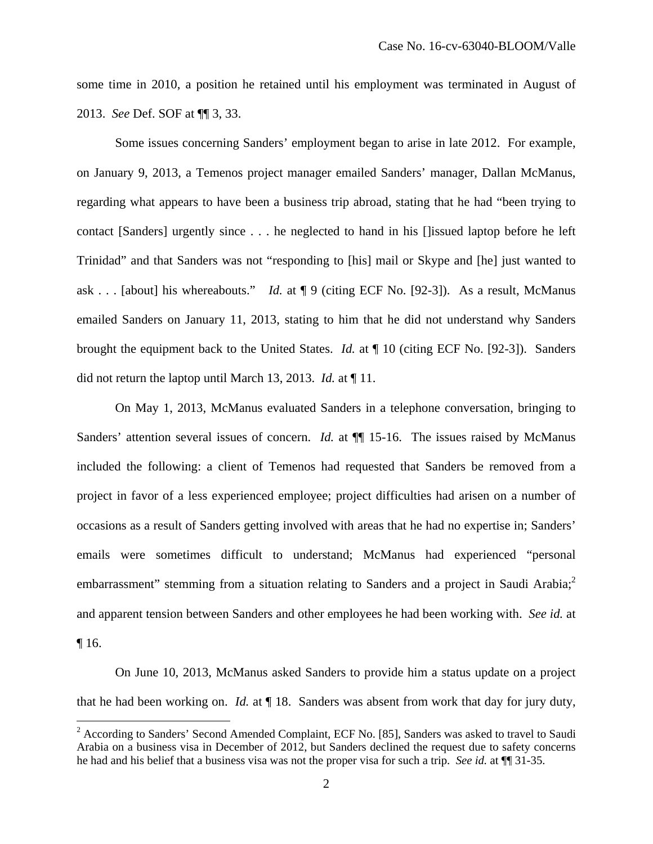some time in 2010, a position he retained until his employment was terminated in August of 2013. *See* Def. SOF at ¶¶ 3, 33.

Some issues concerning Sanders' employment began to arise in late 2012. For example, on January 9, 2013, a Temenos project manager emailed Sanders' manager, Dallan McManus, regarding what appears to have been a business trip abroad, stating that he had "been trying to contact [Sanders] urgently since . . . he neglected to hand in his []issued laptop before he left Trinidad" and that Sanders was not "responding to [his] mail or Skype and [he] just wanted to ask . . . [about] his whereabouts." *Id.* at ¶ 9 (citing ECF No. [92-3]). As a result, McManus emailed Sanders on January 11, 2013, stating to him that he did not understand why Sanders brought the equipment back to the United States. *Id.* at ¶ 10 (citing ECF No. [92-3]). Sanders did not return the laptop until March 13, 2013. *Id.* at ¶ 11.

On May 1, 2013, McManus evaluated Sanders in a telephone conversation, bringing to Sanders' attention several issues of concern. *Id.* at  $\P$  15-16. The issues raised by McManus included the following: a client of Temenos had requested that Sanders be removed from a project in favor of a less experienced employee; project difficulties had arisen on a number of occasions as a result of Sanders getting involved with areas that he had no expertise in; Sanders' emails were sometimes difficult to understand; McManus had experienced "personal embarrassment" stemming from a situation relating to Sanders and a project in Saudi Arabia;<sup>2</sup> and apparent tension between Sanders and other employees he had been working with. *See id.* at ¶ 16.

On June 10, 2013, McManus asked Sanders to provide him a status update on a project that he had been working on. *Id.* at ¶ 18. Sanders was absent from work that day for jury duty,

<u>.</u>

 $2$  According to Sanders' Second Amended Complaint, ECF No. [85], Sanders was asked to travel to Saudi Arabia on a business visa in December of 2012, but Sanders declined the request due to safety concerns he had and his belief that a business visa was not the proper visa for such a trip. *See id.* at ¶¶ 31-35.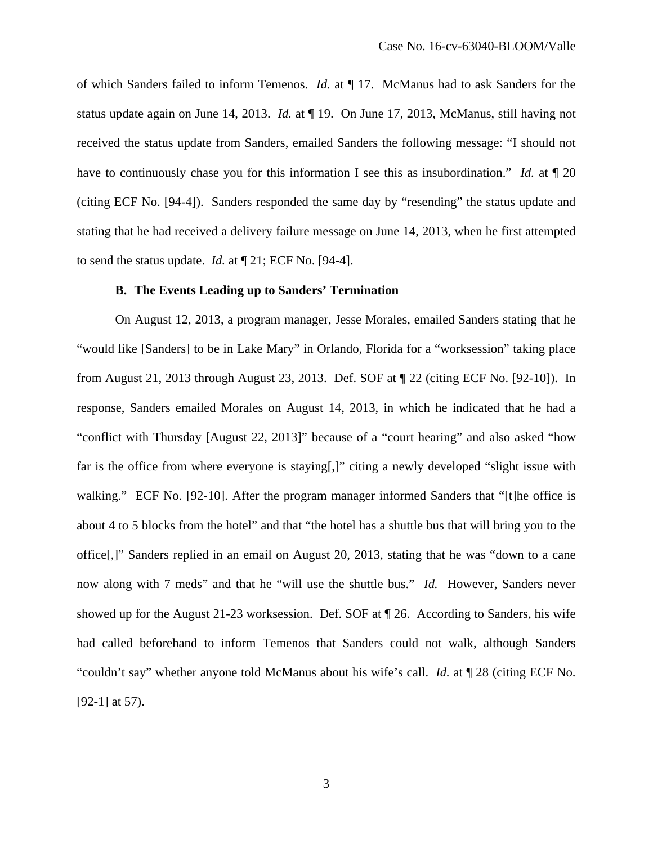of which Sanders failed to inform Temenos. *Id.* at ¶ 17. McManus had to ask Sanders for the status update again on June 14, 2013. *Id.* at ¶ 19. On June 17, 2013, McManus, still having not received the status update from Sanders, emailed Sanders the following message: "I should not have to continuously chase you for this information I see this as insubordination." *Id.* at  $\llbracket 20 \rrbracket$ (citing ECF No. [94-4]). Sanders responded the same day by "resending" the status update and stating that he had received a delivery failure message on June 14, 2013, when he first attempted to send the status update. *Id.* at ¶ 21; ECF No. [94-4].

## **B. The Events Leading up to Sanders' Termination**

On August 12, 2013, a program manager, Jesse Morales, emailed Sanders stating that he "would like [Sanders] to be in Lake Mary" in Orlando, Florida for a "worksession" taking place from August 21, 2013 through August 23, 2013. Def. SOF at ¶ 22 (citing ECF No. [92-10]). In response, Sanders emailed Morales on August 14, 2013, in which he indicated that he had a "conflict with Thursday [August 22, 2013]" because of a "court hearing" and also asked "how far is the office from where everyone is staying[,]" citing a newly developed "slight issue with walking." ECF No. [92-10]. After the program manager informed Sanders that "[t]he office is about 4 to 5 blocks from the hotel" and that "the hotel has a shuttle bus that will bring you to the office[,]" Sanders replied in an email on August 20, 2013, stating that he was "down to a cane now along with 7 meds" and that he "will use the shuttle bus." *Id.* However, Sanders never showed up for the August 21-23 worksession. Def. SOF at ¶ 26. According to Sanders, his wife had called beforehand to inform Temenos that Sanders could not walk, although Sanders "couldn't say" whether anyone told McManus about his wife's call. *Id.* at ¶ 28 (citing ECF No. [92-1] at 57).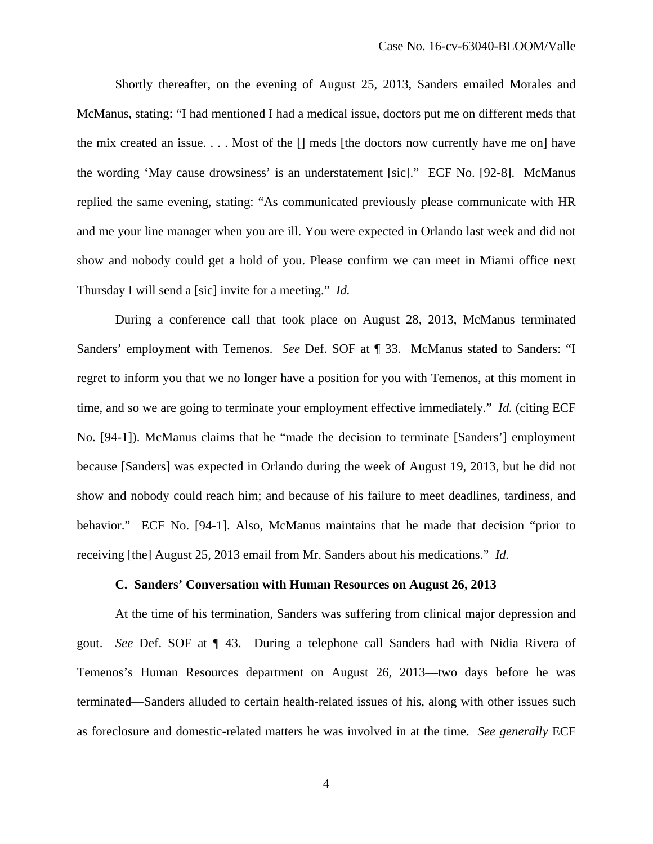Shortly thereafter, on the evening of August 25, 2013, Sanders emailed Morales and McManus, stating: "I had mentioned I had a medical issue, doctors put me on different meds that the mix created an issue.  $\dots$  Most of the  $\Box$  meds [the doctors now currently have me on] have the wording 'May cause drowsiness' is an understatement [sic]." ECF No. [92-8]. McManus replied the same evening, stating: "As communicated previously please communicate with HR and me your line manager when you are ill. You were expected in Orlando last week and did not show and nobody could get a hold of you. Please confirm we can meet in Miami office next Thursday I will send a [sic] invite for a meeting." *Id.*

During a conference call that took place on August 28, 2013, McManus terminated Sanders' employment with Temenos. *See* Def. SOF at ¶ 33. McManus stated to Sanders: "I regret to inform you that we no longer have a position for you with Temenos, at this moment in time, and so we are going to terminate your employment effective immediately." *Id.* (citing ECF No. [94-1]). McManus claims that he "made the decision to terminate [Sanders'] employment because [Sanders] was expected in Orlando during the week of August 19, 2013, but he did not show and nobody could reach him; and because of his failure to meet deadlines, tardiness, and behavior." ECF No. [94-1]. Also, McManus maintains that he made that decision "prior to receiving [the] August 25, 2013 email from Mr. Sanders about his medications." *Id.*

### **C. Sanders' Conversation with Human Resources on August 26, 2013**

At the time of his termination, Sanders was suffering from clinical major depression and gout. *See* Def. SOF at ¶ 43. During a telephone call Sanders had with Nidia Rivera of Temenos's Human Resources department on August 26, 2013—two days before he was terminated—Sanders alluded to certain health-related issues of his, along with other issues such as foreclosure and domestic-related matters he was involved in at the time. *See generally* ECF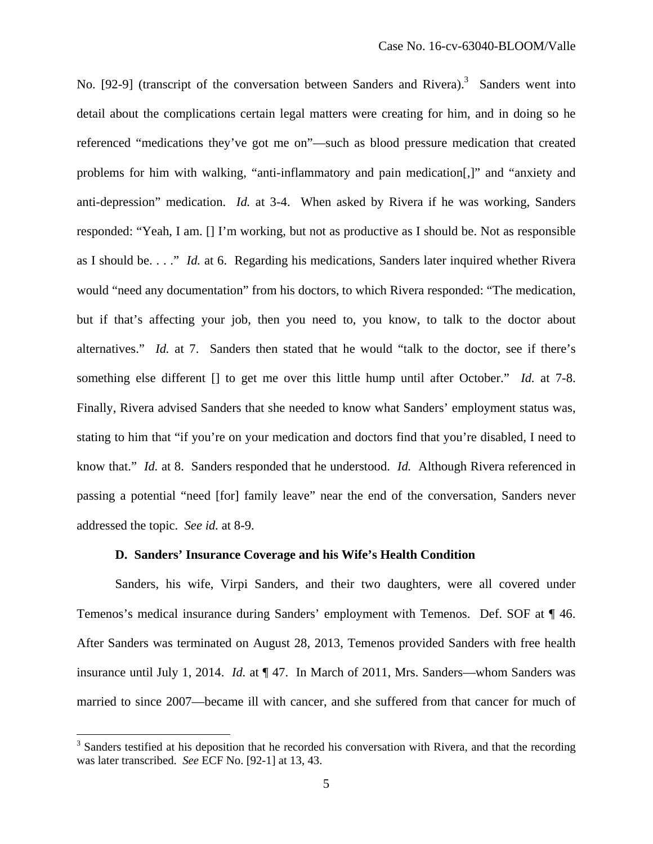No. [92-9] (transcript of the conversation between Sanders and Rivera).<sup>3</sup> Sanders went into detail about the complications certain legal matters were creating for him, and in doing so he referenced "medications they've got me on"—such as blood pressure medication that created problems for him with walking, "anti-inflammatory and pain medication[,]" and "anxiety and anti-depression" medication. *Id.* at 3-4. When asked by Rivera if he was working, Sanders responded: "Yeah, I am. [] I'm working, but not as productive as I should be. Not as responsible as I should be. . . ." *Id.* at 6. Regarding his medications, Sanders later inquired whether Rivera would "need any documentation" from his doctors, to which Rivera responded: "The medication, but if that's affecting your job, then you need to, you know, to talk to the doctor about alternatives." *Id.* at 7. Sanders then stated that he would "talk to the doctor, see if there's something else different [] to get me over this little hump until after October." *Id.* at 7-8. Finally, Rivera advised Sanders that she needed to know what Sanders' employment status was, stating to him that "if you're on your medication and doctors find that you're disabled, I need to know that." *Id.* at 8. Sanders responded that he understood. *Id.* Although Rivera referenced in passing a potential "need [for] family leave" near the end of the conversation, Sanders never addressed the topic. *See id.* at 8-9.

### **D. Sanders' Insurance Coverage and his Wife's Health Condition**

Sanders, his wife, Virpi Sanders, and their two daughters, were all covered under Temenos's medical insurance during Sanders' employment with Temenos. Def. SOF at ¶ 46. After Sanders was terminated on August 28, 2013, Temenos provided Sanders with free health insurance until July 1, 2014. *Id.* at ¶ 47. In March of 2011, Mrs. Sanders—whom Sanders was married to since 2007—became ill with cancer, and she suffered from that cancer for much of

 $\overline{a}$ 

<sup>&</sup>lt;sup>3</sup> Sanders testified at his deposition that he recorded his conversation with Rivera, and that the recording was later transcribed. *See* ECF No. [92-1] at 13, 43.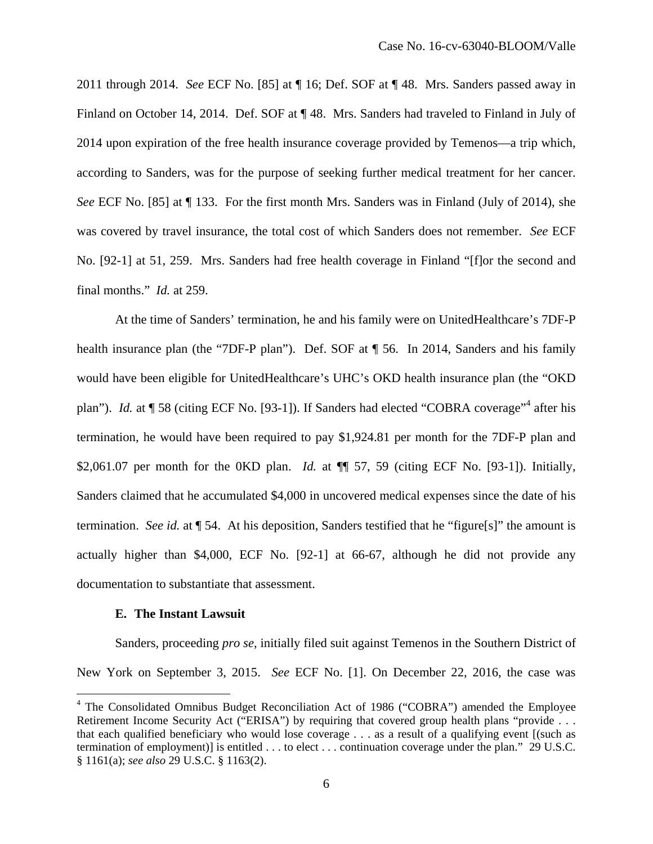2011 through 2014. *See* ECF No. [85] at ¶ 16; Def. SOF at ¶ 48. Mrs. Sanders passed away in Finland on October 14, 2014. Def. SOF at ¶ 48. Mrs. Sanders had traveled to Finland in July of 2014 upon expiration of the free health insurance coverage provided by Temenos—a trip which, according to Sanders, was for the purpose of seeking further medical treatment for her cancer. *See* ECF No. [85] at ¶ 133. For the first month Mrs. Sanders was in Finland (July of 2014), she was covered by travel insurance, the total cost of which Sanders does not remember. *See* ECF No. [92-1] at 51, 259. Mrs. Sanders had free health coverage in Finland "[f]or the second and final months." *Id.* at 259.

 At the time of Sanders' termination, he and his family were on UnitedHealthcare's 7DF-P health insurance plan (the "7DF-P plan"). Def. SOF at  $\P$  56. In 2014, Sanders and his family would have been eligible for UnitedHealthcare's UHC's OKD health insurance plan (the "OKD plan"). *Id.* at ¶ 58 (citing ECF No. [93-1]). If Sanders had elected "COBRA coverage"<sup>4</sup> after his termination, he would have been required to pay \$1,924.81 per month for the 7DF-P plan and \$2,061.07 per month for the 0KD plan. *Id.* at ¶¶ 57, 59 (citing ECF No. [93-1]). Initially, Sanders claimed that he accumulated \$4,000 in uncovered medical expenses since the date of his termination. *See id.* at ¶ 54. At his deposition, Sanders testified that he "figure[s]" the amount is actually higher than \$4,000, ECF No. [92-1] at 66-67, although he did not provide any documentation to substantiate that assessment.

### **E. The Instant Lawsuit**

 $\overline{a}$ 

Sanders, proceeding *pro se*, initially filed suit against Temenos in the Southern District of New York on September 3, 2015. *See* ECF No. [1]. On December 22, 2016, the case was

<sup>&</sup>lt;sup>4</sup> The Consolidated Omnibus Budget Reconciliation Act of 1986 ("COBRA") amended the Employee Retirement Income Security Act ("ERISA") by requiring that covered group health plans "provide . . . that each qualified beneficiary who would lose coverage . . . as a result of a qualifying event [(such as termination of employment)] is entitled . . . to elect . . . continuation coverage under the plan." 29 U.S.C. § 1161(a); *see also* 29 U.S.C. § 1163(2).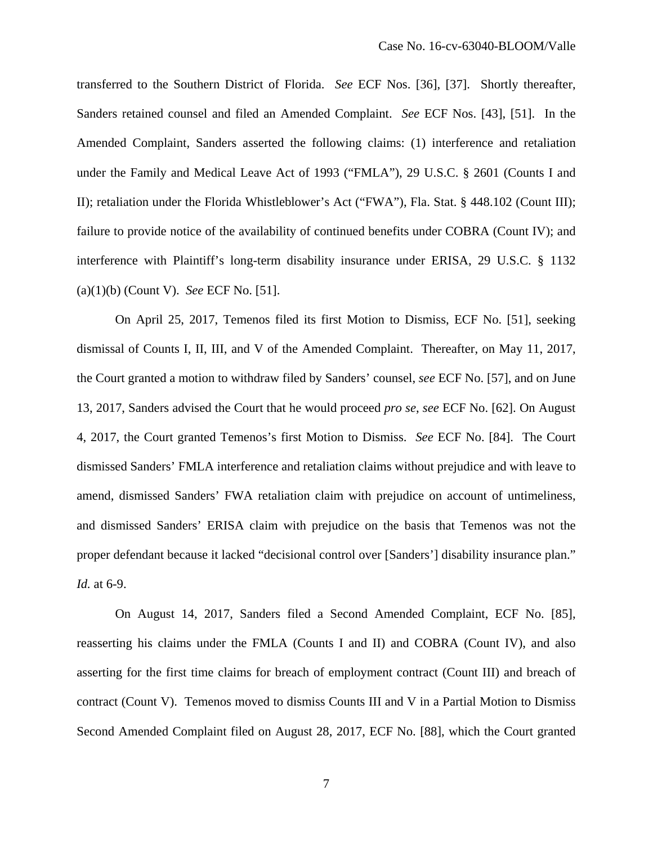transferred to the Southern District of Florida. *See* ECF Nos. [36], [37]. Shortly thereafter, Sanders retained counsel and filed an Amended Complaint. *See* ECF Nos. [43], [51]. In the Amended Complaint, Sanders asserted the following claims: (1) interference and retaliation under the Family and Medical Leave Act of 1993 ("FMLA"), 29 U.S.C. § 2601 (Counts I and II); retaliation under the Florida Whistleblower's Act ("FWA"), Fla. Stat. § 448.102 (Count III); failure to provide notice of the availability of continued benefits under COBRA (Count IV); and interference with Plaintiff's long-term disability insurance under ERISA, 29 U.S.C. § 1132 (a)(1)(b) (Count V). *See* ECF No. [51].

On April 25, 2017, Temenos filed its first Motion to Dismiss, ECF No. [51], seeking dismissal of Counts I, II, III, and V of the Amended Complaint. Thereafter, on May 11, 2017, the Court granted a motion to withdraw filed by Sanders' counsel, *see* ECF No. [57], and on June 13, 2017, Sanders advised the Court that he would proceed *pro se*, *see* ECF No. [62]. On August 4, 2017, the Court granted Temenos's first Motion to Dismiss. *See* ECF No. [84]. The Court dismissed Sanders' FMLA interference and retaliation claims without prejudice and with leave to amend, dismissed Sanders' FWA retaliation claim with prejudice on account of untimeliness, and dismissed Sanders' ERISA claim with prejudice on the basis that Temenos was not the proper defendant because it lacked "decisional control over [Sanders'] disability insurance plan." *Id.* at 6-9.

On August 14, 2017, Sanders filed a Second Amended Complaint, ECF No. [85], reasserting his claims under the FMLA (Counts I and II) and COBRA (Count IV), and also asserting for the first time claims for breach of employment contract (Count III) and breach of contract (Count V). Temenos moved to dismiss Counts III and V in a Partial Motion to Dismiss Second Amended Complaint filed on August 28, 2017, ECF No. [88], which the Court granted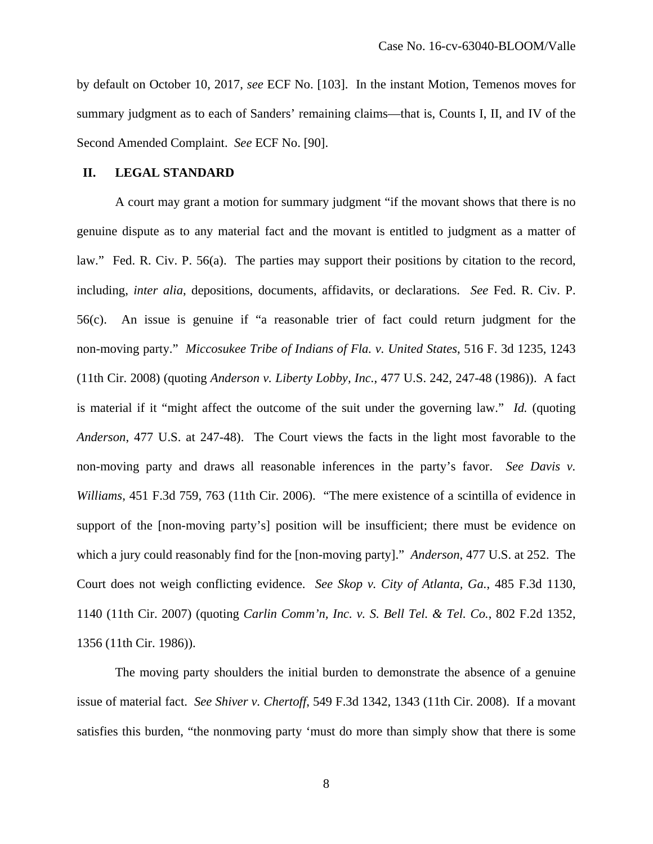by default on October 10, 2017, *see* ECF No. [103]. In the instant Motion, Temenos moves for summary judgment as to each of Sanders' remaining claims—that is, Counts I, II, and IV of the Second Amended Complaint. *See* ECF No. [90].

### **II. LEGAL STANDARD**

A court may grant a motion for summary judgment "if the movant shows that there is no genuine dispute as to any material fact and the movant is entitled to judgment as a matter of law." Fed. R. Civ. P. 56(a). The parties may support their positions by citation to the record, including, *inter alia*, depositions, documents, affidavits, or declarations. *See* Fed. R. Civ. P. 56(c). An issue is genuine if "a reasonable trier of fact could return judgment for the non-moving party." *Miccosukee Tribe of Indians of Fla. v. United States*, 516 F. 3d 1235, 1243 (11th Cir. 2008) (quoting *Anderson v. Liberty Lobby, Inc.*, 477 U.S. 242, 247-48 (1986)). A fact is material if it "might affect the outcome of the suit under the governing law." *Id.* (quoting *Anderson*, 477 U.S. at 247-48). The Court views the facts in the light most favorable to the non-moving party and draws all reasonable inferences in the party's favor. *See Davis v. Williams*, 451 F.3d 759, 763 (11th Cir. 2006). "The mere existence of a scintilla of evidence in support of the [non-moving party's] position will be insufficient; there must be evidence on which a jury could reasonably find for the [non-moving party]." *Anderson*, 477 U.S. at 252. The Court does not weigh conflicting evidence. *See Skop v. City of Atlanta, Ga.*, 485 F.3d 1130, 1140 (11th Cir. 2007) (quoting *Carlin Comm'n, Inc. v. S. Bell Tel. & Tel. Co.*, 802 F.2d 1352, 1356 (11th Cir. 1986)).

The moving party shoulders the initial burden to demonstrate the absence of a genuine issue of material fact. *See Shiver v. Chertoff*, 549 F.3d 1342, 1343 (11th Cir. 2008). If a movant satisfies this burden, "the nonmoving party 'must do more than simply show that there is some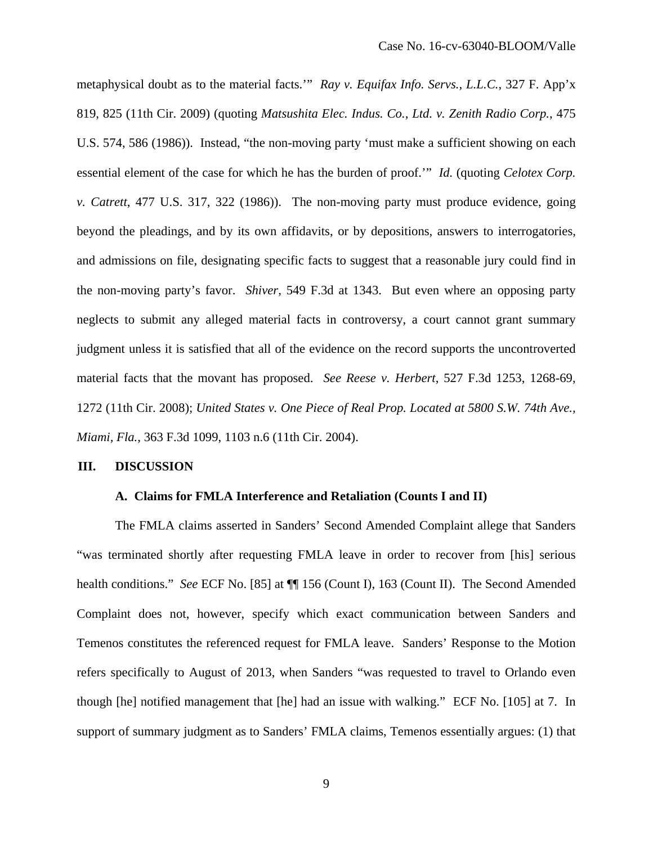metaphysical doubt as to the material facts.'" *Ray v. Equifax Info. Servs., L.L.C.*, 327 F. App'x 819, 825 (11th Cir. 2009) (quoting *Matsushita Elec. Indus. Co., Ltd. v. Zenith Radio Corp.*, 475 U.S. 574, 586 (1986)). Instead, "the non-moving party 'must make a sufficient showing on each essential element of the case for which he has the burden of proof.'" *Id.* (quoting *Celotex Corp. v. Catrett*, 477 U.S. 317, 322 (1986)). The non-moving party must produce evidence, going beyond the pleadings, and by its own affidavits, or by depositions, answers to interrogatories, and admissions on file, designating specific facts to suggest that a reasonable jury could find in the non-moving party's favor. *Shiver*, 549 F.3d at 1343. But even where an opposing party neglects to submit any alleged material facts in controversy, a court cannot grant summary judgment unless it is satisfied that all of the evidence on the record supports the uncontroverted material facts that the movant has proposed. *See Reese v. Herbert*, 527 F.3d 1253, 1268-69, 1272 (11th Cir. 2008); *United States v. One Piece of Real Prop. Located at 5800 S.W. 74th Ave., Miami, Fla.*, 363 F.3d 1099, 1103 n.6 (11th Cir. 2004).

### **III. DISCUSSION**

#### **A. Claims for FMLA Interference and Retaliation (Counts I and II)**

The FMLA claims asserted in Sanders' Second Amended Complaint allege that Sanders "was terminated shortly after requesting FMLA leave in order to recover from [his] serious health conditions." *See* ECF No. [85] at  $\P$  156 (Count I), 163 (Count II). The Second Amended Complaint does not, however, specify which exact communication between Sanders and Temenos constitutes the referenced request for FMLA leave. Sanders' Response to the Motion refers specifically to August of 2013, when Sanders "was requested to travel to Orlando even though [he] notified management that [he] had an issue with walking." ECF No. [105] at 7. In support of summary judgment as to Sanders' FMLA claims, Temenos essentially argues: (1) that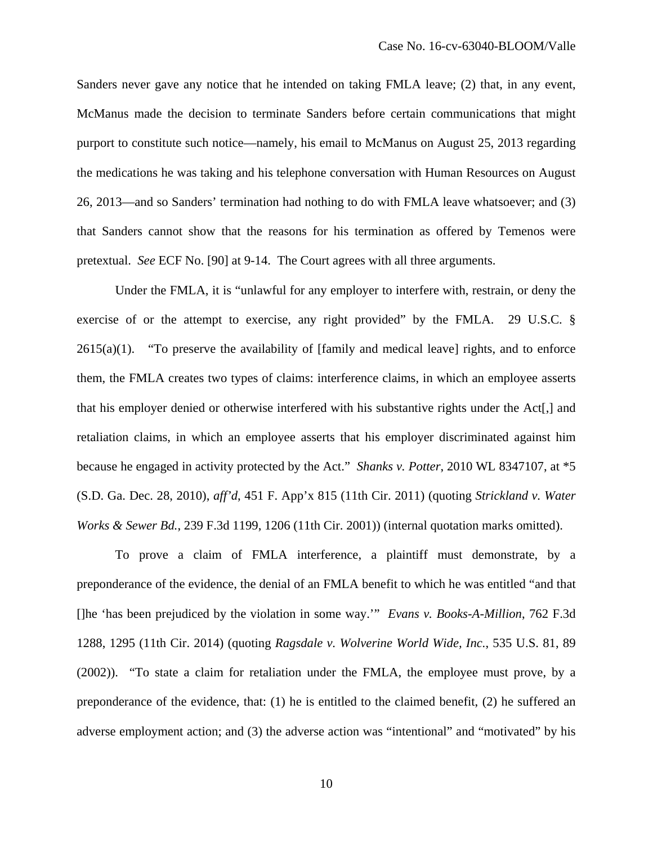Sanders never gave any notice that he intended on taking FMLA leave; (2) that, in any event, McManus made the decision to terminate Sanders before certain communications that might purport to constitute such notice—namely, his email to McManus on August 25, 2013 regarding the medications he was taking and his telephone conversation with Human Resources on August 26, 2013—and so Sanders' termination had nothing to do with FMLA leave whatsoever; and (3) that Sanders cannot show that the reasons for his termination as offered by Temenos were pretextual. *See* ECF No. [90] at 9-14. The Court agrees with all three arguments.

Under the FMLA, it is "unlawful for any employer to interfere with, restrain, or deny the exercise of or the attempt to exercise, any right provided" by the FMLA. 29 U.S.C. §  $2615(a)(1)$ . "To preserve the availability of [family and medical leave] rights, and to enforce them, the FMLA creates two types of claims: interference claims, in which an employee asserts that his employer denied or otherwise interfered with his substantive rights under the Act[,] and retaliation claims, in which an employee asserts that his employer discriminated against him because he engaged in activity protected by the Act." *Shanks v. Potter*, 2010 WL 8347107, at \*5 (S.D. Ga. Dec. 28, 2010), *aff'd*, 451 F. App'x 815 (11th Cir. 2011) (quoting *Strickland v. Water Works & Sewer Bd.*, 239 F.3d 1199, 1206 (11th Cir. 2001)) (internal quotation marks omitted).

To prove a claim of FMLA interference, a plaintiff must demonstrate, by a preponderance of the evidence, the denial of an FMLA benefit to which he was entitled "and that []he 'has been prejudiced by the violation in some way.'" *Evans v. Books-A-Million*, 762 F.3d 1288, 1295 (11th Cir. 2014) (quoting *Ragsdale v. Wolverine World Wide, Inc.*, 535 U.S. 81, 89 (2002)). "To state a claim for retaliation under the FMLA, the employee must prove, by a preponderance of the evidence, that: (1) he is entitled to the claimed benefit, (2) he suffered an adverse employment action; and (3) the adverse action was "intentional" and "motivated" by his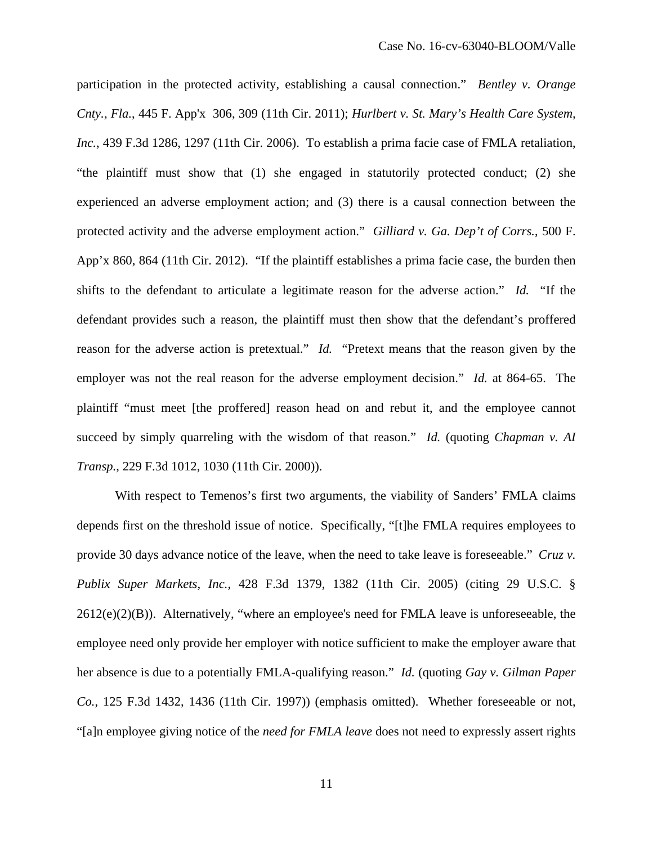participation in the protected activity, establishing a causal connection." *Bentley v. Orange Cnty., Fla.*, 445 F. App'x 306, 309 (11th Cir. 2011); *Hurlbert v. St. Mary's Health Care System, Inc.*, 439 F.3d 1286, 1297 (11th Cir. 2006). To establish a prima facie case of FMLA retaliation, "the plaintiff must show that (1) she engaged in statutorily protected conduct; (2) she experienced an adverse employment action; and (3) there is a causal connection between the protected activity and the adverse employment action." *Gilliard v. Ga. Dep't of Corrs.*, 500 F. App'x 860, 864 (11th Cir. 2012). "If the plaintiff establishes a prima facie case, the burden then shifts to the defendant to articulate a legitimate reason for the adverse action." *Id.* "If the defendant provides such a reason, the plaintiff must then show that the defendant's proffered reason for the adverse action is pretextual." *Id.* "Pretext means that the reason given by the employer was not the real reason for the adverse employment decision." *Id.* at 864-65. The plaintiff "must meet [the proffered] reason head on and rebut it, and the employee cannot succeed by simply quarreling with the wisdom of that reason." *Id.* (quoting *Chapman v. AI Transp.*, 229 F.3d 1012, 1030 (11th Cir. 2000)).

With respect to Temenos's first two arguments, the viability of Sanders' FMLA claims depends first on the threshold issue of notice. Specifically, "[t]he FMLA requires employees to provide 30 days advance notice of the leave, when the need to take leave is foreseeable." *Cruz v. Publix Super Markets, Inc.*, 428 F.3d 1379, 1382 (11th Cir. 2005) (citing 29 U.S.C. §  $2612(e)(2)(B)$ ). Alternatively, "where an employee's need for FMLA leave is unforeseeable, the employee need only provide her employer with notice sufficient to make the employer aware that her absence is due to a potentially FMLA-qualifying reason." *Id.* (quoting *Gay v. Gilman Paper Co.*, 125 F.3d 1432, 1436 (11th Cir. 1997)) (emphasis omitted). Whether foreseeable or not, "[a]n employee giving notice of the *need for FMLA leave* does not need to expressly assert rights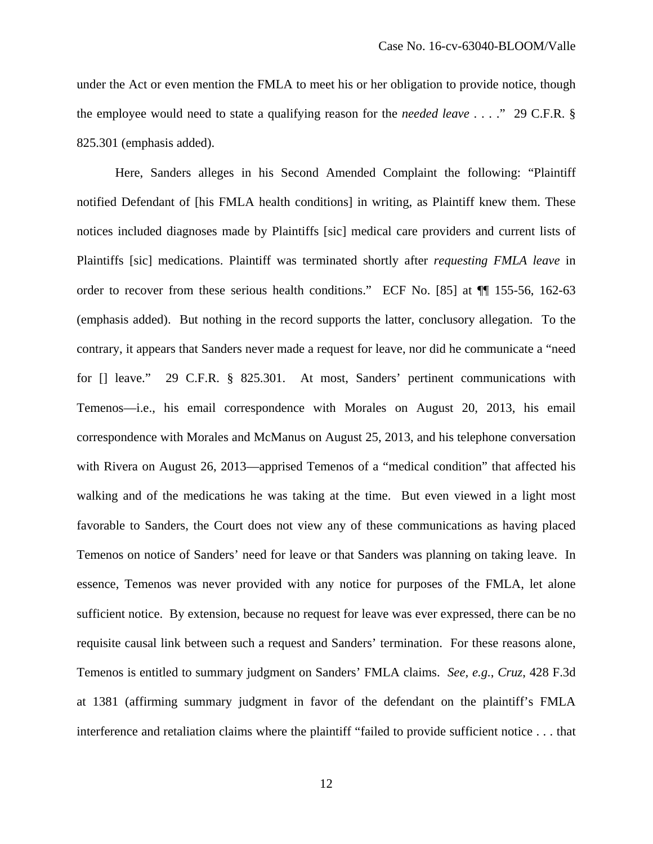under the Act or even mention the FMLA to meet his or her obligation to provide notice, though the employee would need to state a qualifying reason for the *needed leave* . . . ." 29 C.F.R. § 825.301 (emphasis added).

Here, Sanders alleges in his Second Amended Complaint the following: "Plaintiff notified Defendant of [his FMLA health conditions] in writing, as Plaintiff knew them. These notices included diagnoses made by Plaintiffs [sic] medical care providers and current lists of Plaintiffs [sic] medications. Plaintiff was terminated shortly after *requesting FMLA leave* in order to recover from these serious health conditions." ECF No. [85] at ¶¶ 155-56, 162-63 (emphasis added). But nothing in the record supports the latter, conclusory allegation. To the contrary, it appears that Sanders never made a request for leave, nor did he communicate a "need for [] leave." 29 C.F.R. § 825.301. At most, Sanders' pertinent communications with Temenos—i.e., his email correspondence with Morales on August 20, 2013, his email correspondence with Morales and McManus on August 25, 2013, and his telephone conversation with Rivera on August 26, 2013—apprised Temenos of a "medical condition" that affected his walking and of the medications he was taking at the time. But even viewed in a light most favorable to Sanders, the Court does not view any of these communications as having placed Temenos on notice of Sanders' need for leave or that Sanders was planning on taking leave. In essence, Temenos was never provided with any notice for purposes of the FMLA, let alone sufficient notice. By extension, because no request for leave was ever expressed, there can be no requisite causal link between such a request and Sanders' termination. For these reasons alone, Temenos is entitled to summary judgment on Sanders' FMLA claims. *See, e.g.*, *Cruz*, 428 F.3d at 1381 (affirming summary judgment in favor of the defendant on the plaintiff's FMLA interference and retaliation claims where the plaintiff "failed to provide sufficient notice . . . that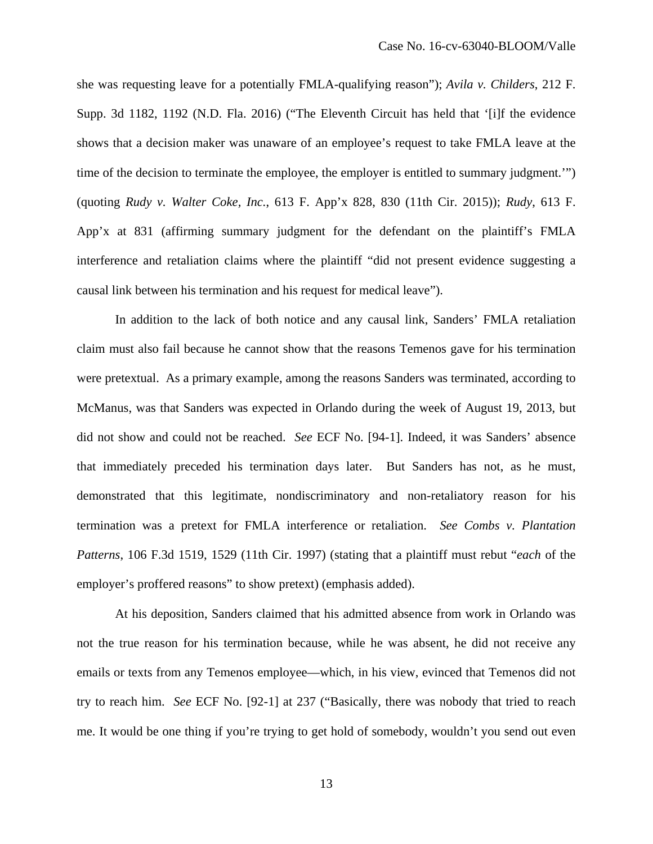she was requesting leave for a potentially FMLA-qualifying reason"); *Avila v. Childers*, 212 F. Supp. 3d 1182, 1192 (N.D. Fla. 2016) ("The Eleventh Circuit has held that '[i]f the evidence shows that a decision maker was unaware of an employee's request to take FMLA leave at the time of the decision to terminate the employee, the employer is entitled to summary judgment." (quoting *Rudy v. Walter Coke, Inc.*, 613 F. App'x 828, 830 (11th Cir. 2015)); *Rudy*, 613 F. App'x at 831 (affirming summary judgment for the defendant on the plaintiff's FMLA interference and retaliation claims where the plaintiff "did not present evidence suggesting a causal link between his termination and his request for medical leave").

 In addition to the lack of both notice and any causal link, Sanders' FMLA retaliation claim must also fail because he cannot show that the reasons Temenos gave for his termination were pretextual. As a primary example, among the reasons Sanders was terminated, according to McManus, was that Sanders was expected in Orlando during the week of August 19, 2013, but did not show and could not be reached. *See* ECF No. [94-1]. Indeed, it was Sanders' absence that immediately preceded his termination days later. But Sanders has not, as he must, demonstrated that this legitimate, nondiscriminatory and non-retaliatory reason for his termination was a pretext for FMLA interference or retaliation. *See Combs v. Plantation Patterns*, 106 F.3d 1519, 1529 (11th Cir. 1997) (stating that a plaintiff must rebut "*each* of the employer's proffered reasons" to show pretext) (emphasis added).

At his deposition, Sanders claimed that his admitted absence from work in Orlando was not the true reason for his termination because, while he was absent, he did not receive any emails or texts from any Temenos employee—which, in his view, evinced that Temenos did not try to reach him. *See* ECF No. [92-1] at 237 ("Basically, there was nobody that tried to reach me. It would be one thing if you're trying to get hold of somebody, wouldn't you send out even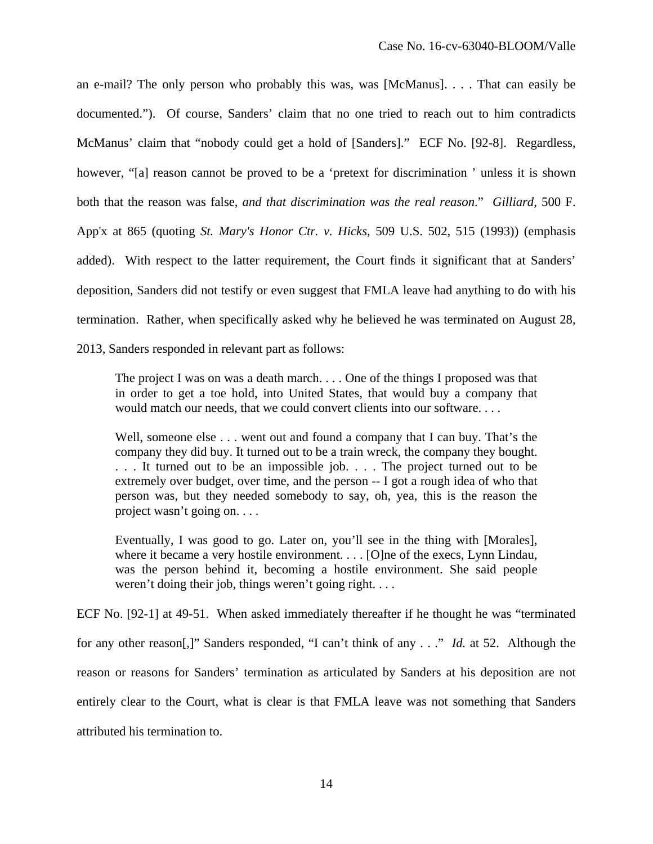an e-mail? The only person who probably this was, was [McManus]. . . . That can easily be documented."). Of course, Sanders' claim that no one tried to reach out to him contradicts McManus' claim that "nobody could get a hold of [Sanders]." ECF No. [92-8]. Regardless, however, "[a] reason cannot be proved to be a 'pretext for discrimination ' unless it is shown both that the reason was false, *and that discrimination was the real reason*." *Gilliard*, 500 F. App'x at 865 (quoting *St. Mary's Honor Ctr. v. Hicks*, 509 U.S. 502, 515 (1993)) (emphasis added). With respect to the latter requirement, the Court finds it significant that at Sanders' deposition, Sanders did not testify or even suggest that FMLA leave had anything to do with his termination. Rather, when specifically asked why he believed he was terminated on August 28,

2013, Sanders responded in relevant part as follows:

The project I was on was a death march. . . . One of the things I proposed was that in order to get a toe hold, into United States, that would buy a company that would match our needs, that we could convert clients into our software. . . .

Well, someone else . . . went out and found a company that I can buy. That's the company they did buy. It turned out to be a train wreck, the company they bought. . . . It turned out to be an impossible job. . . . The project turned out to be extremely over budget, over time, and the person -- I got a rough idea of who that person was, but they needed somebody to say, oh, yea, this is the reason the project wasn't going on. . . .

Eventually, I was good to go. Later on, you'll see in the thing with [Morales], where it became a very hostile environment. . . . [O]ne of the execs, Lynn Lindau, was the person behind it, becoming a hostile environment. She said people weren't doing their job, things weren't going right....

ECF No. [92-1] at 49-51. When asked immediately thereafter if he thought he was "terminated for any other reason[,]" Sanders responded, "I can't think of any . . ." *Id.* at 52. Although the reason or reasons for Sanders' termination as articulated by Sanders at his deposition are not entirely clear to the Court, what is clear is that FMLA leave was not something that Sanders attributed his termination to.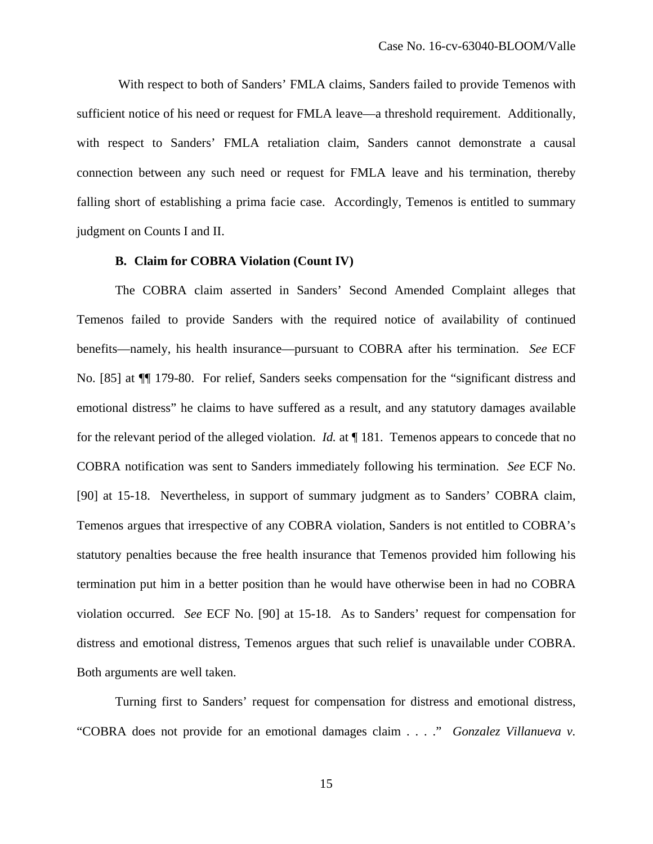With respect to both of Sanders' FMLA claims, Sanders failed to provide Temenos with sufficient notice of his need or request for FMLA leave—a threshold requirement. Additionally, with respect to Sanders' FMLA retaliation claim, Sanders cannot demonstrate a causal connection between any such need or request for FMLA leave and his termination, thereby falling short of establishing a prima facie case. Accordingly, Temenos is entitled to summary judgment on Counts I and II.

#### **B. Claim for COBRA Violation (Count IV)**

The COBRA claim asserted in Sanders' Second Amended Complaint alleges that Temenos failed to provide Sanders with the required notice of availability of continued benefits—namely, his health insurance—pursuant to COBRA after his termination. *See* ECF No. [85] at ¶¶ 179-80. For relief, Sanders seeks compensation for the "significant distress and emotional distress" he claims to have suffered as a result, and any statutory damages available for the relevant period of the alleged violation. *Id.* at ¶ 181. Temenos appears to concede that no COBRA notification was sent to Sanders immediately following his termination. *See* ECF No. [90] at 15-18. Nevertheless, in support of summary judgment as to Sanders' COBRA claim, Temenos argues that irrespective of any COBRA violation, Sanders is not entitled to COBRA's statutory penalties because the free health insurance that Temenos provided him following his termination put him in a better position than he would have otherwise been in had no COBRA violation occurred. *See* ECF No. [90] at 15-18. As to Sanders' request for compensation for distress and emotional distress, Temenos argues that such relief is unavailable under COBRA. Both arguments are well taken.

Turning first to Sanders' request for compensation for distress and emotional distress, "COBRA does not provide for an emotional damages claim . . . ." *Gonzalez Villanueva v.* 

15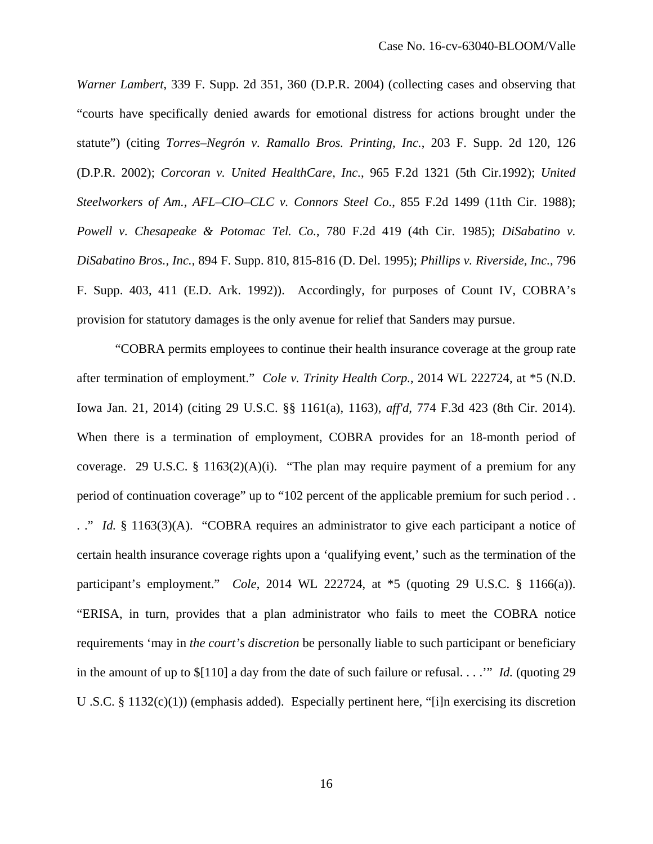*Warner Lambert*, 339 F. Supp. 2d 351, 360 (D.P.R. 2004) (collecting cases and observing that "courts have specifically denied awards for emotional distress for actions brought under the statute") (citing *Torres–Negrón v. Ramallo Bros. Printing, Inc.*, 203 F. Supp. 2d 120, 126 (D.P.R. 2002); *Corcoran v. United HealthCare, Inc.*, 965 F.2d 1321 (5th Cir.1992); *United Steelworkers of Am., AFL–CIO–CLC v. Connors Steel Co.*, 855 F.2d 1499 (11th Cir. 1988); *Powell v. Chesapeake & Potomac Tel. Co.*, 780 F.2d 419 (4th Cir. 1985); *DiSabatino v. DiSabatino Bros., Inc.*, 894 F. Supp. 810, 815-816 (D. Del. 1995); *Phillips v. Riverside, Inc.*, 796 F. Supp. 403, 411 (E.D. Ark. 1992)). Accordingly, for purposes of Count IV, COBRA's provision for statutory damages is the only avenue for relief that Sanders may pursue.

"COBRA permits employees to continue their health insurance coverage at the group rate after termination of employment." *Cole v. Trinity Health Corp.*, 2014 WL 222724, at \*5 (N.D. Iowa Jan. 21, 2014) (citing 29 U.S.C. §§ 1161(a), 1163), *aff'd*, 774 F.3d 423 (8th Cir. 2014). When there is a termination of employment, COBRA provides for an 18-month period of coverage. 29 U.S.C. § 1163(2)(A)(i). "The plan may require payment of a premium for any period of continuation coverage" up to "102 percent of the applicable premium for such period . . . ." *Id.* § 1163(3)(A). "COBRA requires an administrator to give each participant a notice of certain health insurance coverage rights upon a 'qualifying event,' such as the termination of the participant's employment." *Cole*, 2014 WL 222724, at \*5 (quoting 29 U.S.C. § 1166(a)). "ERISA, in turn, provides that a plan administrator who fails to meet the COBRA notice requirements 'may in *the court's discretion* be personally liable to such participant or beneficiary in the amount of up to \$[110] a day from the date of such failure or refusal. . . .'" *Id.* (quoting 29 U .S.C. § 1132(c)(1)) (emphasis added). Especially pertinent here, "[i]n exercising its discretion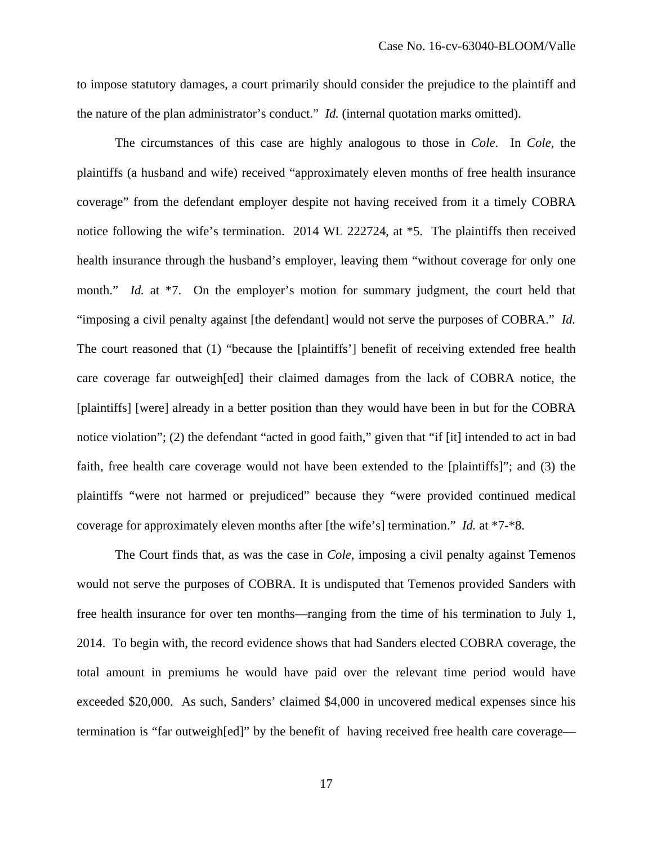to impose statutory damages, a court primarily should consider the prejudice to the plaintiff and the nature of the plan administrator's conduct." *Id.* (internal quotation marks omitted).

The circumstances of this case are highly analogous to those in *Cole*. In *Cole*, the plaintiffs (a husband and wife) received "approximately eleven months of free health insurance coverage" from the defendant employer despite not having received from it a timely COBRA notice following the wife's termination. 2014 WL 222724, at \*5. The plaintiffs then received health insurance through the husband's employer, leaving them "without coverage for only one month." *Id.* at \*7. On the employer's motion for summary judgment, the court held that "imposing a civil penalty against [the defendant] would not serve the purposes of COBRA." *Id.* The court reasoned that (1) "because the [plaintiffs'] benefit of receiving extended free health care coverage far outweigh[ed] their claimed damages from the lack of COBRA notice, the [plaintiffs] [were] already in a better position than they would have been in but for the COBRA notice violation"; (2) the defendant "acted in good faith," given that "if [it] intended to act in bad faith, free health care coverage would not have been extended to the [plaintiffs]"; and (3) the plaintiffs "were not harmed or prejudiced" because they "were provided continued medical coverage for approximately eleven months after [the wife's] termination." *Id.* at \*7-\*8.

The Court finds that, as was the case in *Cole*, imposing a civil penalty against Temenos would not serve the purposes of COBRA. It is undisputed that Temenos provided Sanders with free health insurance for over ten months—ranging from the time of his termination to July 1, 2014. To begin with, the record evidence shows that had Sanders elected COBRA coverage, the total amount in premiums he would have paid over the relevant time period would have exceeded \$20,000. As such, Sanders' claimed \$4,000 in uncovered medical expenses since his termination is "far outweigh[ed]" by the benefit of having received free health care coverage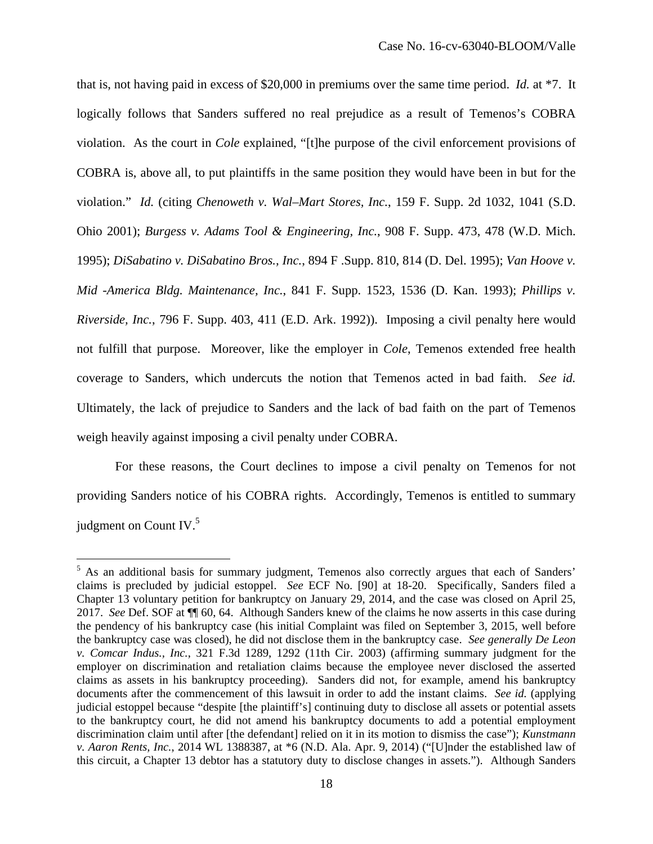that is, not having paid in excess of \$20,000 in premiums over the same time period. *Id.* at \*7. It logically follows that Sanders suffered no real prejudice as a result of Temenos's COBRA violation. As the court in *Cole* explained, "[t]he purpose of the civil enforcement provisions of COBRA is, above all, to put plaintiffs in the same position they would have been in but for the violation." *Id.* (citing *Chenoweth v. Wal–Mart Stores, Inc.*, 159 F. Supp. 2d 1032, 1041 (S.D. Ohio 2001); *Burgess v. Adams Tool & Engineering, Inc.*, 908 F. Supp. 473, 478 (W.D. Mich. 1995); *DiSabatino v. DiSabatino Bros., Inc.*, 894 F .Supp. 810, 814 (D. Del. 1995); *Van Hoove v. Mid -America Bldg. Maintenance, Inc.*, 841 F. Supp. 1523, 1536 (D. Kan. 1993); *Phillips v. Riverside, Inc.*, 796 F. Supp. 403, 411 (E.D. Ark. 1992)). Imposing a civil penalty here would not fulfill that purpose. Moreover, like the employer in *Cole*, Temenos extended free health coverage to Sanders, which undercuts the notion that Temenos acted in bad faith. *See id.* Ultimately, the lack of prejudice to Sanders and the lack of bad faith on the part of Temenos weigh heavily against imposing a civil penalty under COBRA.

For these reasons, the Court declines to impose a civil penalty on Temenos for not providing Sanders notice of his COBRA rights. Accordingly, Temenos is entitled to summary judgment on Count IV.<sup>5</sup>

<sup>&</sup>lt;sup>5</sup> As an additional basis for summary judgment, Temenos also correctly argues that each of Sanders' claims is precluded by judicial estoppel. *See* ECF No. [90] at 18-20. Specifically, Sanders filed a Chapter 13 voluntary petition for bankruptcy on January 29, 2014, and the case was closed on April 25, 2017. *See* Def. SOF at ¶¶ 60, 64. Although Sanders knew of the claims he now asserts in this case during the pendency of his bankruptcy case (his initial Complaint was filed on September 3, 2015, well before the bankruptcy case was closed), he did not disclose them in the bankruptcy case. *See generally De Leon v. Comcar Indus., Inc.*, 321 F.3d 1289, 1292 (11th Cir. 2003) (affirming summary judgment for the employer on discrimination and retaliation claims because the employee never disclosed the asserted claims as assets in his bankruptcy proceeding). Sanders did not, for example, amend his bankruptcy documents after the commencement of this lawsuit in order to add the instant claims. *See id.* (applying judicial estoppel because "despite [the plaintiff's] continuing duty to disclose all assets or potential assets to the bankruptcy court, he did not amend his bankruptcy documents to add a potential employment discrimination claim until after [the defendant] relied on it in its motion to dismiss the case"); *Kunstmann v. Aaron Rents, Inc.*, 2014 WL 1388387, at \*6 (N.D. Ala. Apr. 9, 2014) ("[U]nder the established law of this circuit, a Chapter 13 debtor has a statutory duty to disclose changes in assets."). Although Sanders